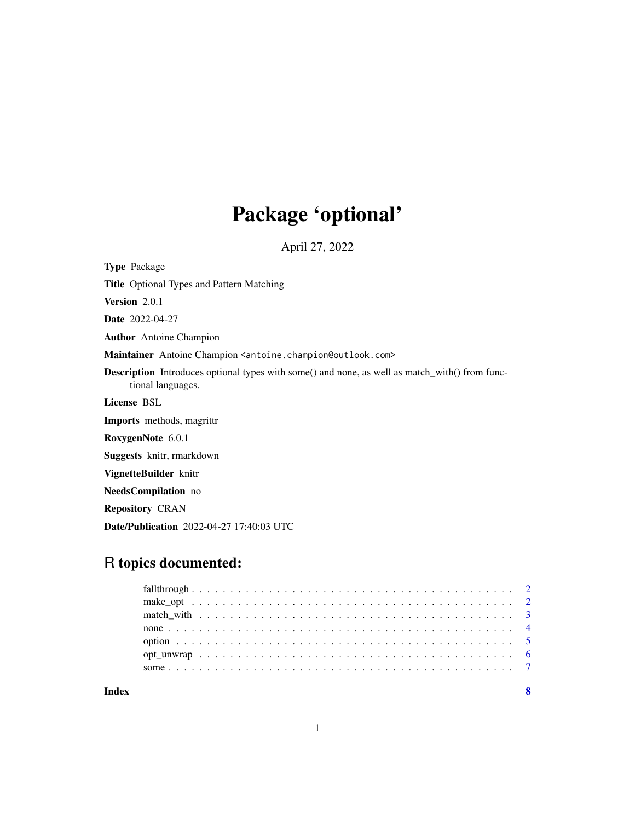# Package 'optional'

April 27, 2022

Type Package

Title Optional Types and Pattern Matching

Version 2.0.1

Date 2022-04-27

Author Antoine Champion

Maintainer Antoine Champion <antoine.champion@outlook.com>

Description Introduces optional types with some() and none, as well as match\_with() from functional languages.

License BSL

Imports methods, magrittr

RoxygenNote 6.0.1

Suggests knitr, rmarkdown

VignetteBuilder knitr

NeedsCompilation no

Repository CRAN

Date/Publication 2022-04-27 17:40:03 UTC

# R topics documented:

| Index |  |  |  |  |  |  |  |  |  |  |  |  |
|-------|--|--|--|--|--|--|--|--|--|--|--|--|
|       |  |  |  |  |  |  |  |  |  |  |  |  |
|       |  |  |  |  |  |  |  |  |  |  |  |  |
|       |  |  |  |  |  |  |  |  |  |  |  |  |
|       |  |  |  |  |  |  |  |  |  |  |  |  |
|       |  |  |  |  |  |  |  |  |  |  |  |  |
|       |  |  |  |  |  |  |  |  |  |  |  |  |
|       |  |  |  |  |  |  |  |  |  |  |  |  |

1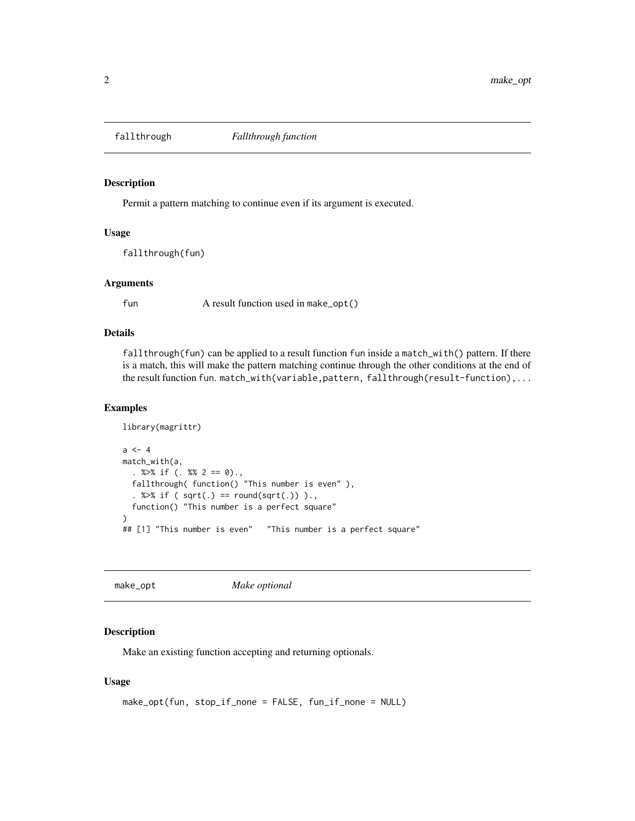<span id="page-1-0"></span>

#### Description

Permit a pattern matching to continue even if its argument is executed.

#### Usage

fallthrough(fun)

#### **Arguments**

fun A result function used in make\_opt()

## Details

fallthrough(fun) can be applied to a result function fun inside a match\_with() pattern. If there is a match, this will make the pattern matching continue through the other conditions at the end of the result function fun. match\_with(variable,pattern, fallthrough(result-function),...

#### Examples

```
library(magrittr)
a < -4match_with(a,
  . %>% if (. %% 2 == 0).,
  fallthrough( function() "This number is even" ),
  . %>% if ( sqrt(.) == round(sqrt(.)) ).,
  function() "This number is a perfect square"
\lambda## [1] "This number is even"  "This number is a perfect square"
```
make\_opt *Make optional*

#### Description

Make an existing function accepting and returning optionals.

#### Usage

```
make_opt(fun, stop_if_none = FALSE, fun_if_none = NULL)
```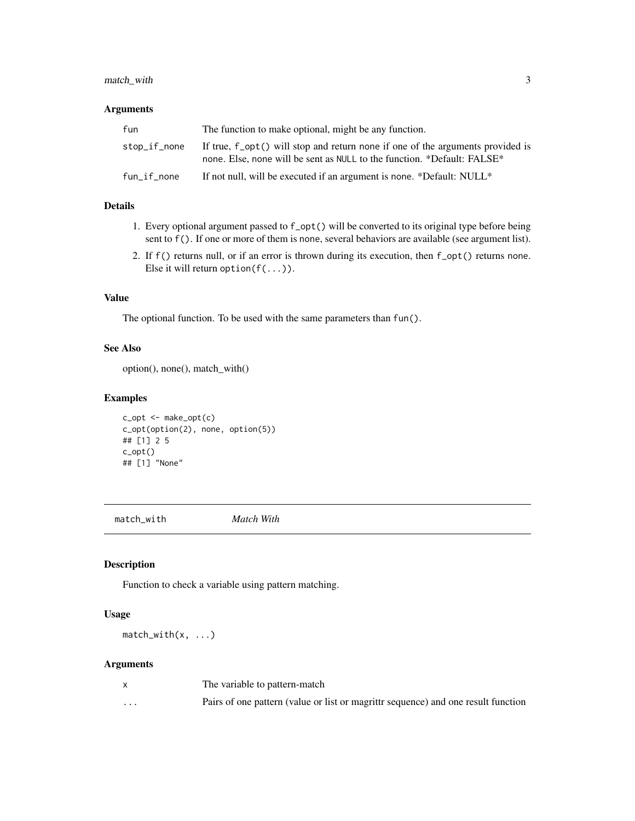# <span id="page-2-0"></span>match\_with 3

#### Arguments

| fun          | The function to make optional, might be any function.                                                                                                     |
|--------------|-----------------------------------------------------------------------------------------------------------------------------------------------------------|
| stop_if_none | If true, f_opt() will stop and return none if one of the arguments provided is<br>none. Else, none will be sent as NULL to the function. *Default: FALSE* |
| fun_if_none  | If not null, will be executed if an argument is none. *Default: NULL*                                                                                     |

# Details

- 1. Every optional argument passed to f\_opt() will be converted to its original type before being sent to f(). If one or more of them is none, several behaviors are available (see argument list).
- 2. If f() returns null, or if an error is thrown during its execution, then f\_opt() returns none. Else it will return option( $f(\ldots)$ ).

#### Value

The optional function. To be used with the same parameters than fun().

#### See Also

option(), none(), match\_with()

# Examples

c\_opt <- make\_opt(c) c\_opt(option(2), none, option(5)) ## [1] 2 5 c\_opt() ## [1] "None"

match\_with *Match With*

# Description

Function to check a variable using pattern matching.

# Usage

 $match\_with(x, \ldots)$ 

#### Arguments

|          | The variable to pattern-match                                                     |
|----------|-----------------------------------------------------------------------------------|
| $\cdots$ | Pairs of one pattern (value or list or magrittr sequence) and one result function |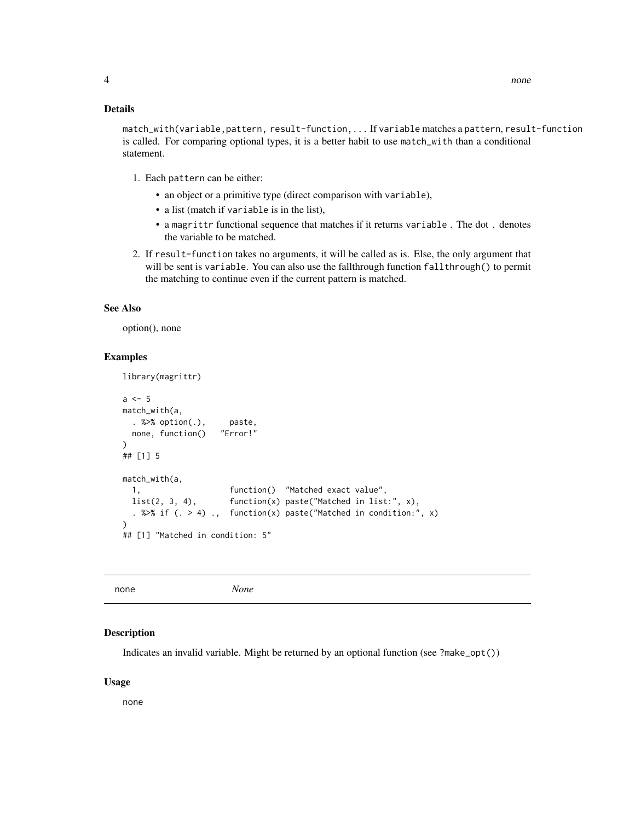#### <span id="page-3-0"></span>Details

match\_with(variable,pattern, result-function,... If variable matches a pattern, result-function is called. For comparing optional types, it is a better habit to use match\_with than a conditional statement.

- 1. Each pattern can be either:
	- an object or a primitive type (direct comparison with variable),
	- a list (match if variable is in the list),
	- a magrittr functional sequence that matches if it returns variable . The dot . denotes the variable to be matched.
- 2. If result-function takes no arguments, it will be called as is. Else, the only argument that will be sent is variable. You can also use the fallthrough function fallthrough() to permit the matching to continue even if the current pattern is matched.

#### See Also

option(), none

#### Examples

```
library(magrittr)
a \leq -5match_with(a,
 . %>% option(.), paste,
 none, function() "Error!"
)
## [1] 5
match_with(a,
 1, function() "Matched exact value",
 list(2, 3, 4), function(x) paste("Matched in list:", x),
 . %>% if (. > 4) ., function(x) paste("Matched in condition:", x)
\mathcal{L}## [1] "Matched in condition: 5"
```

| none | None |
|------|------|
|------|------|

#### Description

Indicates an invalid variable. Might be returned by an optional function (see ?make\_opt())

#### Usage

none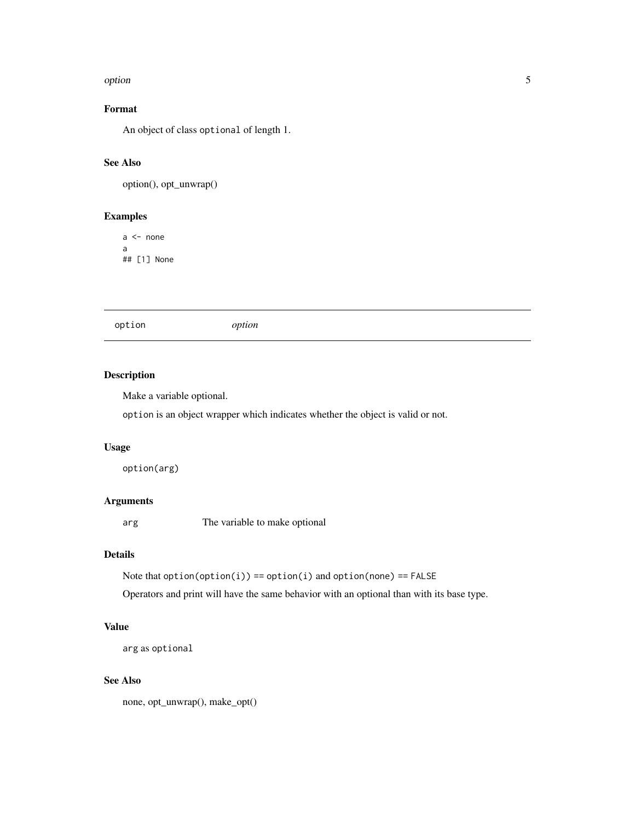#### <span id="page-4-0"></span>option 5

# Format

An object of class optional of length 1.

# See Also

option(), opt\_unwrap()

# Examples

 $a \leftarrow$  none a ## [1] None

option *option*

# Description

Make a variable optional.

option is an object wrapper which indicates whether the object is valid or not.

#### Usage

option(arg)

# Arguments

arg The variable to make optional

# Details

Note that  $option(option(i)) == option(i)$  and  $option(none) == FALSE$ 

Operators and print will have the same behavior with an optional than with its base type.

# Value

arg as optional

#### See Also

none, opt\_unwrap(), make\_opt()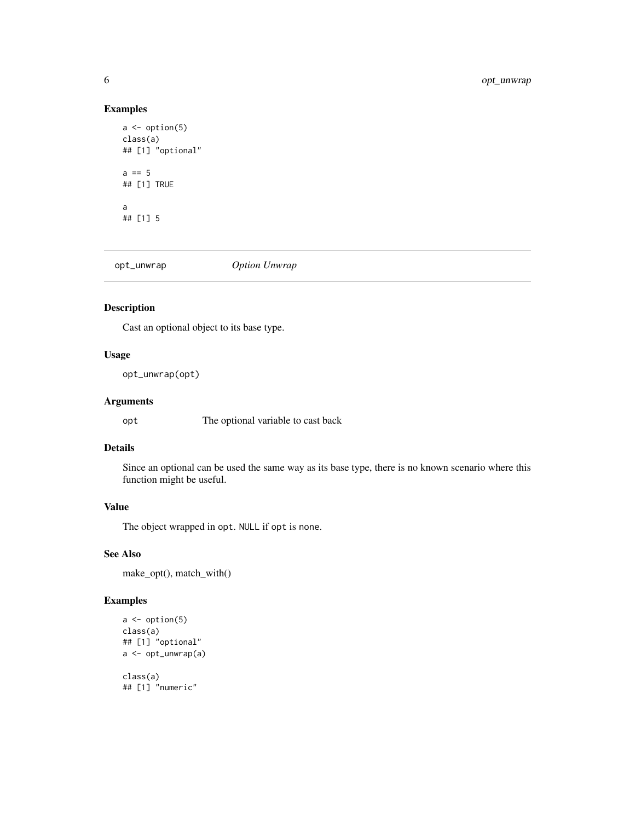#### Examples

```
a \leftarrow option(5)
class(a)
## [1] "optional"
a == 5## [1] TRUE
a
## [1] 5
```
opt\_unwrap *Option Unwrap*

# Description

Cast an optional object to its base type.

# Usage

opt\_unwrap(opt)

# Arguments

opt The optional variable to cast back

# Details

Since an optional can be used the same way as its base type, there is no known scenario where this function might be useful.

# Value

The object wrapped in opt. NULL if opt is none.

# See Also

make\_opt(), match\_with()

# Examples

```
a \leftarrow option(5)
class(a)
## [1] "optional"
a <- opt_unwrap(a)
class(a)
## [1] "numeric"
```
<span id="page-5-0"></span>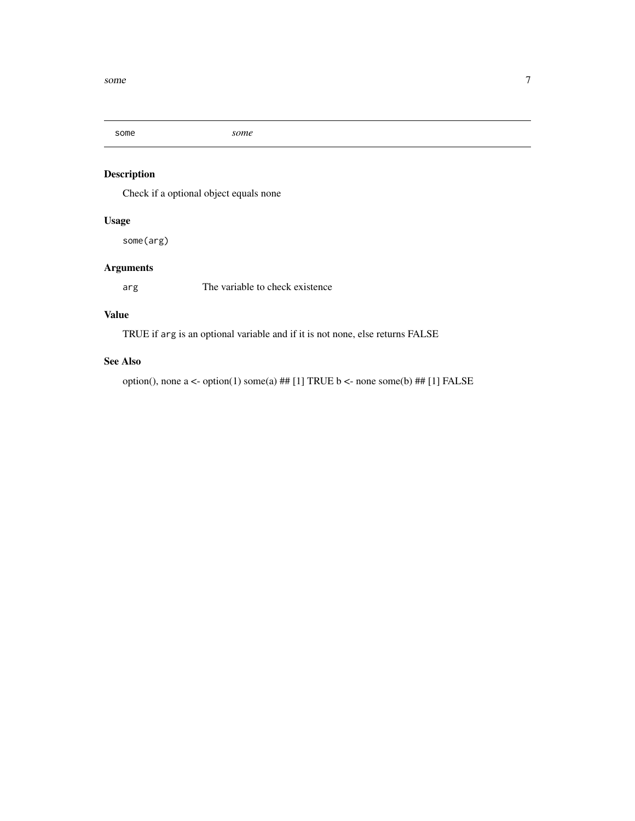<span id="page-6-0"></span>

# Description

Check if a optional object equals none

# Usage

some(arg)

# Arguments

arg The variable to check existence

# Value

TRUE if arg is an optional variable and if it is not none, else returns FALSE

#### See Also

option(), none a <- option(1) some(a) ## [1] TRUE b <- none some(b) ## [1] FALSE